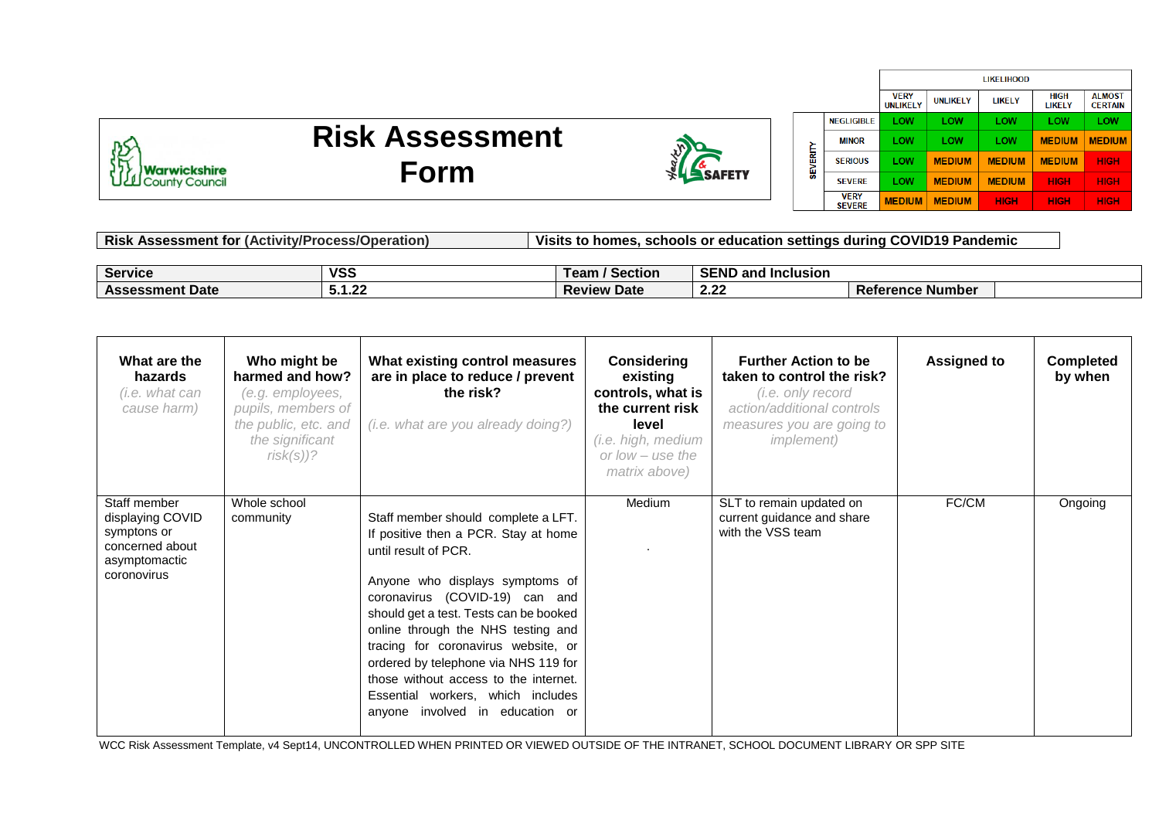

## **Risk Assessment Form**



ű

|   |                              | <b>LIKELIHOOD</b>              |                 |               |                       |                                  |
|---|------------------------------|--------------------------------|-----------------|---------------|-----------------------|----------------------------------|
|   |                              | <b>VERY</b><br><b>UNLIKELY</b> | <b>UNLIKELY</b> | LIKELY        | <b>HIGH</b><br>LIKELY | <b>AI MOST</b><br><b>CERTAIN</b> |
|   | <b>NEGLIGIBLE</b>            | LOW                            | LOW             | LOW           | LOW                   | LOW                              |
|   | <b>MINOR</b>                 | LOW                            | LOW             | LOW           | <b>MEDIUM</b>         | <b>MEDIUM</b>                    |
|   | <b>SERIOUS</b>               | LOW                            | <b>MEDIUM</b>   | <b>MEDIUM</b> | <b>MEDIUM</b>         | <b>HIGH</b>                      |
| ļ | <b>SFVFRF</b>                | LOW                            | <b>MEDIUM</b>   | <b>MEDIUM</b> | <b>HIGH</b>           | <b>HIGH</b>                      |
|   | <b>VERY</b><br><b>SEVERE</b> | <b>MEDIUM</b>                  | <b>MEDIUM</b>   | <b>HIGH</b>   | <b>HIGH</b>           | <b>HIGH</b>                      |

| <b>K</b> Assessment for (Activity/Process/Operation)<br>Risk |            | Visits to homes, schools or education settings during COVID19 Pandemic |                           |                         |  |  |
|--------------------------------------------------------------|------------|------------------------------------------------------------------------|---------------------------|-------------------------|--|--|
|                                                              |            |                                                                        |                           |                         |  |  |
| <b>Service</b>                                               | <b>VSS</b> | / Section<br>Team .                                                    | <b>SEND and Inclusion</b> |                         |  |  |
| <b>Assessment Date</b>                                       | 5.1.22     | <b>Review Date</b>                                                     | 2.22                      | <b>Reference Number</b> |  |  |

| What are the<br>hazards<br>(i.e. what can<br>cause harm)                                           | Who might be<br>harmed and how?<br>(e.g. employees,<br>pupils, members of<br>the public, etc. and<br>the significant<br>$risk(s))$ ? | What existing control measures<br>are in place to reduce / prevent<br>the risk?<br>(i.e. what are you already doing?)                                                                                                                                                                                                                                                                                                                                       | <b>Considering</b><br>existing<br>controls, what is<br>the current risk<br>level<br>(i.e. high, medium<br>or $low$ – use the<br>matrix above) | <b>Further Action to be</b><br>taken to control the risk?<br>(i.e. only record<br>action/additional controls<br>measures you are going to<br><i>implement</i> ) | <b>Assigned to</b> | <b>Completed</b><br>by when |
|----------------------------------------------------------------------------------------------------|--------------------------------------------------------------------------------------------------------------------------------------|-------------------------------------------------------------------------------------------------------------------------------------------------------------------------------------------------------------------------------------------------------------------------------------------------------------------------------------------------------------------------------------------------------------------------------------------------------------|-----------------------------------------------------------------------------------------------------------------------------------------------|-----------------------------------------------------------------------------------------------------------------------------------------------------------------|--------------------|-----------------------------|
| Staff member<br>displaying COVID<br>symptons or<br>concerned about<br>asymptomactic<br>coronovirus | Whole school<br>community                                                                                                            | Staff member should complete a LFT.<br>If positive then a PCR. Stay at home<br>until result of PCR.<br>Anyone who displays symptoms of<br>coronavirus (COVID-19) can and<br>should get a test. Tests can be booked<br>online through the NHS testing and<br>tracing for coronavirus website, or<br>ordered by telephone via NHS 119 for<br>those without access to the internet.<br>Essential workers, which includes<br>involved in education or<br>anyone | Medium                                                                                                                                        | SLT to remain updated on<br>current guidance and share<br>with the VSS team                                                                                     | FC/CM              | Ongoing                     |

WCC Risk Assessment Template, v4 Sept14, UNCONTROLLED WHEN PRINTED OR VIEWED OUTSIDE OF THE INTRANET, SCHOOL DOCUMENT LIBRARY OR SPP SITE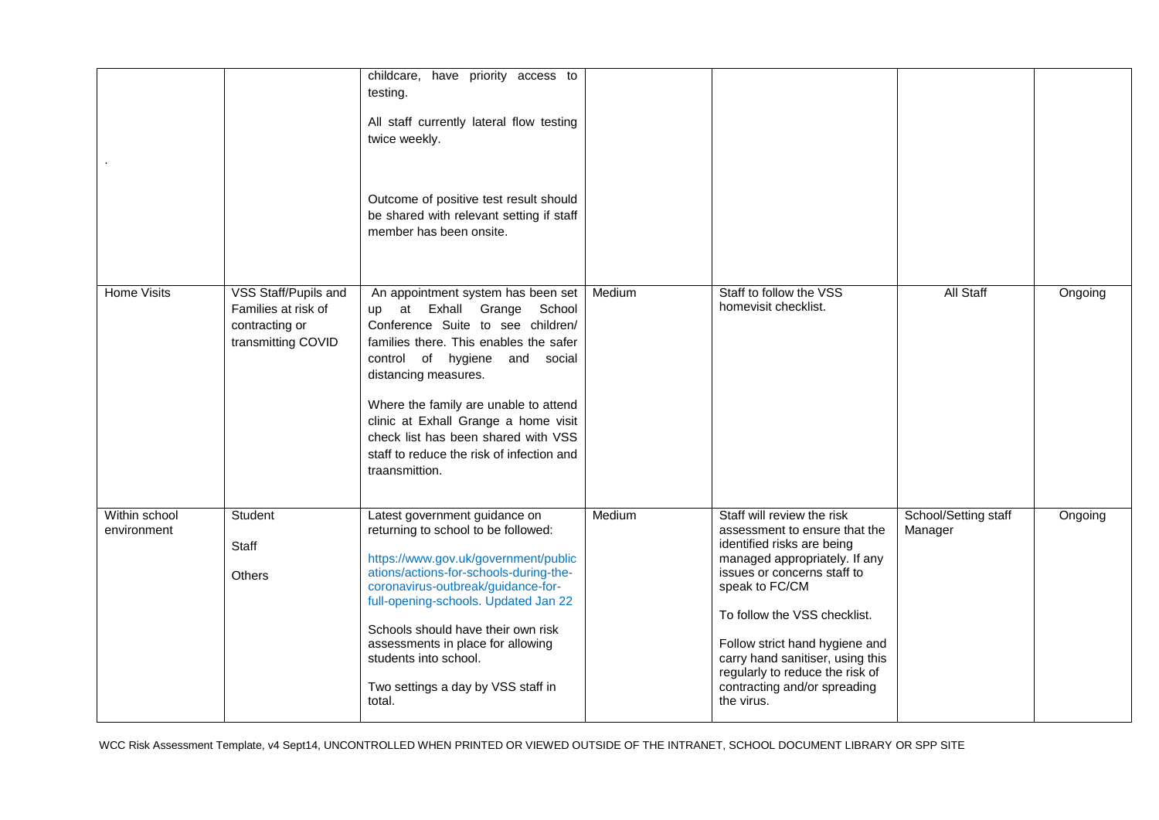|                              |                                                                                     | childcare, have priority access to<br>testing.<br>All staff currently lateral flow testing<br>twice weekly.<br>Outcome of positive test result should<br>be shared with relevant setting if staff<br>member has been onsite.                                                                                                                                                                       |        |                                                                                                                                                                                                                                                                                                                                                                    |                                 |         |
|------------------------------|-------------------------------------------------------------------------------------|----------------------------------------------------------------------------------------------------------------------------------------------------------------------------------------------------------------------------------------------------------------------------------------------------------------------------------------------------------------------------------------------------|--------|--------------------------------------------------------------------------------------------------------------------------------------------------------------------------------------------------------------------------------------------------------------------------------------------------------------------------------------------------------------------|---------------------------------|---------|
| <b>Home Visits</b>           | VSS Staff/Pupils and<br>Families at risk of<br>contracting or<br>transmitting COVID | An appointment system has been set<br>at Exhall Grange School<br>up<br>Conference Suite to see children/<br>families there. This enables the safer<br>control of hygiene and social<br>distancing measures.<br>Where the family are unable to attend<br>clinic at Exhall Grange a home visit<br>check list has been shared with VSS<br>staff to reduce the risk of infection and<br>traansmittion. | Medium | Staff to follow the VSS<br>homevisit checklist.                                                                                                                                                                                                                                                                                                                    | <b>All Staff</b>                | Ongoing |
| Within school<br>environment | Student<br>Staff<br><b>Others</b>                                                   | Latest government guidance on<br>returning to school to be followed:<br>https://www.gov.uk/government/public<br>ations/actions-for-schools-during-the-<br>coronavirus-outbreak/guidance-for-<br>full-opening-schools. Updated Jan 22<br>Schools should have their own risk<br>assessments in place for allowing<br>students into school.<br>Two settings a day by VSS staff in<br>total.           | Medium | Staff will review the risk<br>assessment to ensure that the<br>identified risks are being<br>managed appropriately. If any<br>issues or concerns staff to<br>speak to FC/CM<br>To follow the VSS checklist.<br>Follow strict hand hygiene and<br>carry hand sanitiser, using this<br>regularly to reduce the risk of<br>contracting and/or spreading<br>the virus. | School/Setting staff<br>Manager | Ongoing |

WCC Risk Assessment Template, v4 Sept14, UNCONTROLLED WHEN PRINTED OR VIEWED OUTSIDE OF THE INTRANET, SCHOOL DOCUMENT LIBRARY OR SPP SITE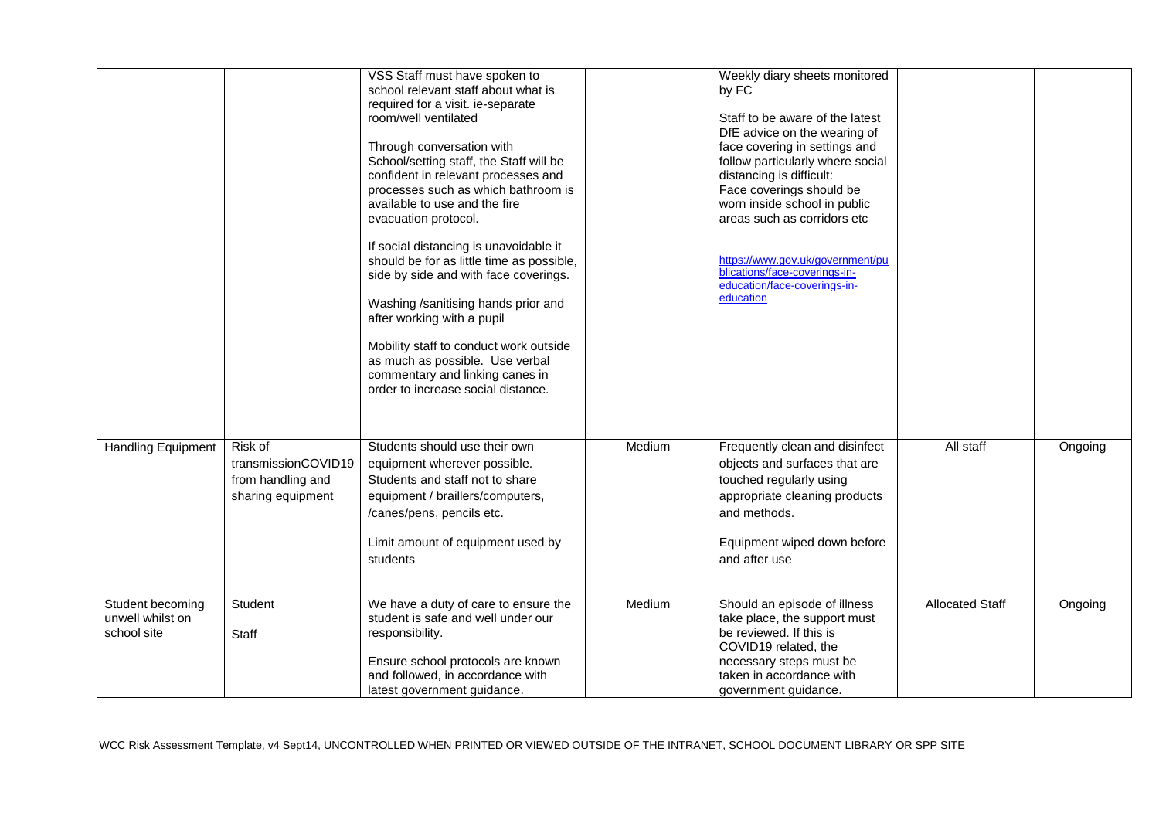|                                                     |                                                                          | VSS Staff must have spoken to<br>school relevant staff about what is<br>required for a visit. ie-separate<br>room/well ventilated<br>Through conversation with<br>School/setting staff, the Staff will be<br>confident in relevant processes and<br>processes such as which bathroom is<br>available to use and the fire<br>evacuation protocol.<br>If social distancing is unavoidable it<br>should be for as little time as possible,<br>side by side and with face coverings.<br>Washing /sanitising hands prior and<br>after working with a pupil<br>Mobility staff to conduct work outside<br>as much as possible. Use verbal<br>commentary and linking canes in<br>order to increase social distance. |        | Weekly diary sheets monitored<br>by FC<br>Staff to be aware of the latest<br>DfE advice on the wearing of<br>face covering in settings and<br>follow particularly where social<br>distancing is difficult:<br>Face coverings should be<br>worn inside school in public<br>areas such as corridors etc<br>https://www.gov.uk/government/pu<br>blications/face-coverings-in-<br>education/face-coverings-in-<br>education |                        |         |
|-----------------------------------------------------|--------------------------------------------------------------------------|-------------------------------------------------------------------------------------------------------------------------------------------------------------------------------------------------------------------------------------------------------------------------------------------------------------------------------------------------------------------------------------------------------------------------------------------------------------------------------------------------------------------------------------------------------------------------------------------------------------------------------------------------------------------------------------------------------------|--------|-------------------------------------------------------------------------------------------------------------------------------------------------------------------------------------------------------------------------------------------------------------------------------------------------------------------------------------------------------------------------------------------------------------------------|------------------------|---------|
| <b>Handling Equipment</b>                           | Risk of<br>transmissionCOVID19<br>from handling and<br>sharing equipment | Students should use their own<br>equipment wherever possible.<br>Students and staff not to share<br>equipment / braillers/computers,<br>/canes/pens, pencils etc.<br>Limit amount of equipment used by<br>students                                                                                                                                                                                                                                                                                                                                                                                                                                                                                          | Medium | Frequently clean and disinfect<br>objects and surfaces that are<br>touched regularly using<br>appropriate cleaning products<br>and methods.<br>Equipment wiped down before<br>and after use                                                                                                                                                                                                                             | All staff              | Ongoing |
| Student becoming<br>unwell whilst on<br>school site | Student<br><b>Staff</b>                                                  | We have a duty of care to ensure the<br>student is safe and well under our<br>responsibility.<br>Ensure school protocols are known<br>and followed, in accordance with<br>latest government quidance.                                                                                                                                                                                                                                                                                                                                                                                                                                                                                                       | Medium | Should an episode of illness<br>take place, the support must<br>be reviewed. If this is<br>COVID19 related, the<br>necessary steps must be<br>taken in accordance with<br>government guidance.                                                                                                                                                                                                                          | <b>Allocated Staff</b> | Ongoing |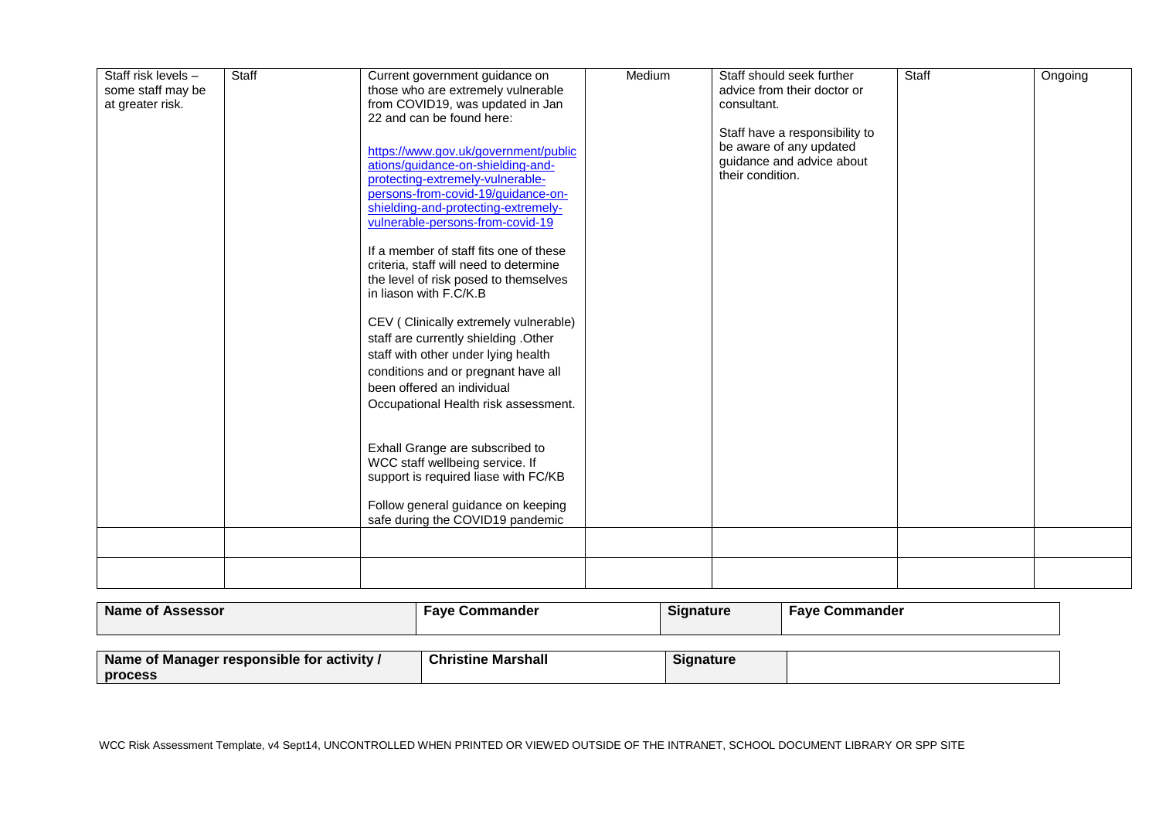| Staff risk levels -<br>some staff may be | Staff | Current government guidance on<br>those who are extremely vulnerable                                                                                                                                                                                                                                                                                                                                                                                                                                                                                                                                                       | Medium | Staff should seek further<br>advice from their doctor or                                                   | Staff | Ongoing |
|------------------------------------------|-------|----------------------------------------------------------------------------------------------------------------------------------------------------------------------------------------------------------------------------------------------------------------------------------------------------------------------------------------------------------------------------------------------------------------------------------------------------------------------------------------------------------------------------------------------------------------------------------------------------------------------------|--------|------------------------------------------------------------------------------------------------------------|-------|---------|
| at greater risk.                         |       | from COVID19, was updated in Jan<br>22 and can be found here:                                                                                                                                                                                                                                                                                                                                                                                                                                                                                                                                                              |        | consultant.                                                                                                |       |         |
|                                          |       | https://www.gov.uk/government/public<br>ations/guidance-on-shielding-and-<br>protecting-extremely-vulnerable-<br>persons-from-covid-19/guidance-on-<br>shielding-and-protecting-extremely-<br>vulnerable-persons-from-covid-19<br>If a member of staff fits one of these<br>criteria, staff will need to determine<br>the level of risk posed to themselves<br>in liason with F.C/K.B<br>CEV (Clinically extremely vulnerable)<br>staff are currently shielding .Other<br>staff with other under lying health<br>conditions and or pregnant have all<br>been offered an individual<br>Occupational Health risk assessment. |        | Staff have a responsibility to<br>be aware of any updated<br>guidance and advice about<br>their condition. |       |         |
|                                          |       | Exhall Grange are subscribed to<br>WCC staff wellbeing service. If<br>support is required liase with FC/KB<br>Follow general guidance on keeping<br>safe during the COVID19 pandemic                                                                                                                                                                                                                                                                                                                                                                                                                                       |        |                                                                                                            |       |         |
|                                          |       |                                                                                                                                                                                                                                                                                                                                                                                                                                                                                                                                                                                                                            |        |                                                                                                            |       |         |

| Name of Assessor | Commander<br>⊦ave | <b>Signature</b> | Fave<br>Commander |
|------------------|-------------------|------------------|-------------------|
|                  |                   |                  |                   |

| . .<br>.<br>Name of Manager<br>' responsible for l<br><b>activity</b> | <b>Christine</b><br>Marshall | ıanature |  |
|-----------------------------------------------------------------------|------------------------------|----------|--|
| process                                                               |                              |          |  |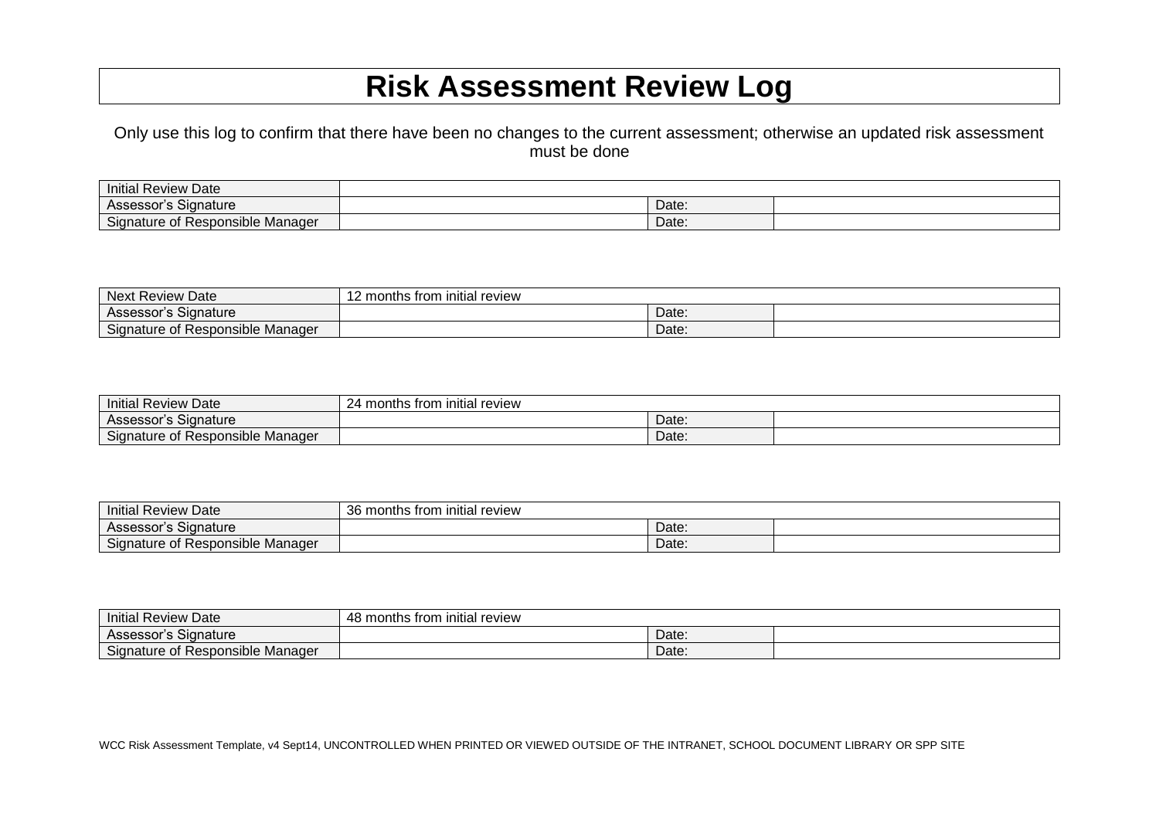## **Risk Assessment Review Log**

Only use this log to confirm that there have been no changes to the current assessment; otherwise an updated risk assessment must be done

| <b>Initial Review Date</b>                 |       |  |
|--------------------------------------------|-------|--|
| `'qnature<br>Assessor's                    | Date: |  |
| $\sim$<br>Signature of Responsible Manager | Date: |  |

| Next<br><b>Review Date</b>                    | initial review<br>I2 months from |       |  |
|-----------------------------------------------|----------------------------------|-------|--|
| $\sim$<br>Signature<br>Assessor's             |                                  | Date: |  |
| Signature<br>. Responsible Manager<br>^+<br>ິ |                                  | Date: |  |

| Initial Review Date                                       | 24 months from initial review |       |  |
|-----------------------------------------------------------|-------------------------------|-------|--|
| $\sim$<br>Signature<br>Assessor's                         |                               | Date: |  |
| $\sim$<br>Responsible Manager<br>Signature of<br>$\sim$ + |                               | Date: |  |

| <b>Initial Review Date</b>                        | $\sim$<br>review<br>36 months from<br>initial |       |  |
|---------------------------------------------------|-----------------------------------------------|-------|--|
| ; Signature<br>Assessor s                         |                                               | Date: |  |
| $\sim$<br>: Responsible Manager<br>Signature of ! |                                               | Date: |  |

| Initial<br>Review<br>Date                     | <b>review</b><br>initial<br>; trom<br>months ا<br>- 40 |       |  |
|-----------------------------------------------|--------------------------------------------------------|-------|--|
| Signature<br>Assessor's                       |                                                        | Date: |  |
| $\sim$<br>Responsible Manager<br>Signature of |                                                        | Date: |  |

WCC Risk Assessment Template, v4 Sept14, UNCONTROLLED WHEN PRINTED OR VIEWED OUTSIDE OF THE INTRANET, SCHOOL DOCUMENT LIBRARY OR SPP SITE